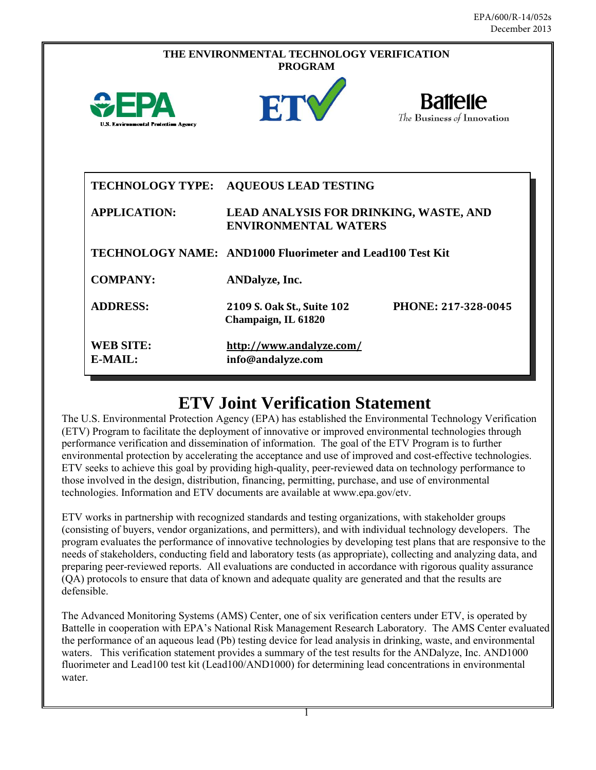| THE ENVIRONMENTAL TECHNOLOGY VERIFICATION<br><b>PROGRAM</b> |                                                                              |
|-------------------------------------------------------------|------------------------------------------------------------------------------|
| <b>U.S. Environmental Protection Agency</b>                 | <b>Battelle</b><br>ETY<br>The Business of Innovation                         |
| <b>TECHNOLOGY TYPE:</b>                                     | <b>AQUEOUS LEAD TESTING</b>                                                  |
| <b>APPLICATION:</b>                                         | <b>LEAD ANALYSIS FOR DRINKING, WASTE, AND</b><br><b>ENVIRONMENTAL WATERS</b> |
|                                                             | TECHNOLOGY NAME: AND1000 Fluorimeter and Lead100 Test Kit                    |
| <b>COMPANY:</b>                                             | <b>ANDalyze</b> , Inc.                                                       |
| <b>ADDRESS:</b>                                             | PHONE: 217-328-0045<br>2109 S. Oak St., Suite 102<br>Champaign, IL 61820     |
| <b>WEB SITE:</b><br>E-MAIL:                                 | http://www.andalyze.com/<br>info@andalyze.com                                |

# **ETV Joint Verification Statement**

The U.S. Environmental Protection Agency (EPA) has established the Environmental Technology Verification (ETV) Program to facilitate the deployment of innovative or improved environmental technologies through performance verification and dissemination of information. The goal of the ETV Program is to further environmental protection by accelerating the acceptance and use of improved and cost-effective technologies. ETV seeks to achieve this goal by providing high-quality, peer-reviewed data on technology performance to those involved in the design, distribution, financing, permitting, purchase, and use of environmental technologies. Information and ETV documents are available at www.epa.gov/etv.

ETV works in partnership with recognized standards and testing organizations, with stakeholder groups (consisting of buyers, vendor organizations, and permitters), and with individual technology developers. The program evaluates the performance of innovative technologies by developing test plans that are responsive to the needs of stakeholders, conducting field and laboratory tests (as appropriate), collecting and analyzing data, and preparing peer-reviewed reports. All evaluations are conducted in accordance with rigorous quality assurance (QA) protocols to ensure that data of known and adequate quality are generated and that the results are defensible.

The Advanced Monitoring Systems (AMS) Center, one of six verification centers under ETV, is operated by Battelle in cooperation with EPA's National Risk Management Research Laboratory. The AMS Center evaluated the performance of an aqueous lead (Pb) testing device for lead analysis in drinking, waste, and environmental waters. This verification statement provides a summary of the test results for the ANDalyze, Inc. AND1000 fluorimeter and Lead100 test kit (Lead100/AND1000) for determining lead concentrations in environmental water.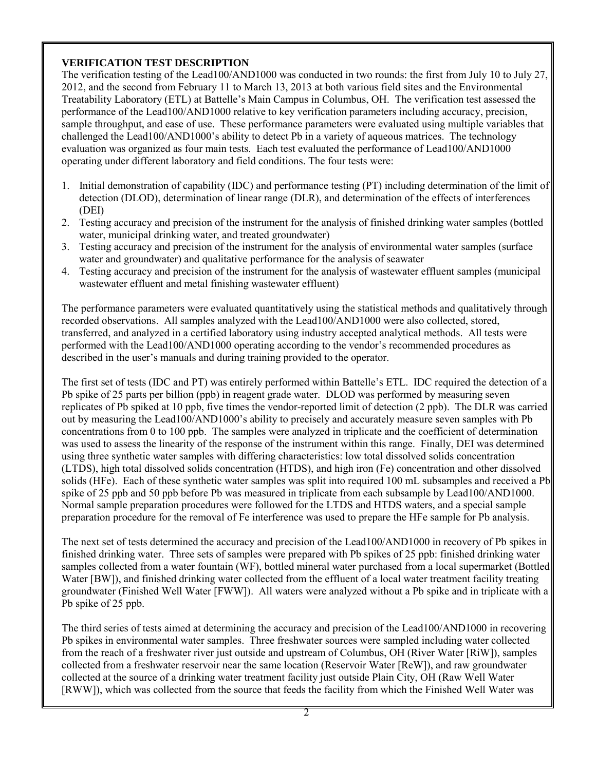# **VERIFICATION TEST DESCRIPTION**

The verification testing of the Lead100/AND1000 was conducted in two rounds: the first from July 10 to July 27, 2012, and the second from February 11 to March 13, 2013 at both various field sites and the Environmental Treatability Laboratory (ETL) at Battelle's Main Campus in Columbus, OH. The verification test assessed the performance of the Lead100/AND1000 relative to key verification parameters including accuracy, precision, sample throughput, and ease of use. These performance parameters were evaluated using multiple variables that challenged the Lead100/AND1000's ability to detect Pb in a variety of aqueous matrices. The technology evaluation was organized as four main tests. Each test evaluated the performance of Lead100/AND1000 operating under different laboratory and field conditions. The four tests were:

- 1. Initial demonstration of capability (IDC) and performance testing (PT) including determination of the limit of detection (DLOD), determination of linear range (DLR), and determination of the effects of interferences (DEI)
- 2. Testing accuracy and precision of the instrument for the analysis of finished drinking water samples (bottled water, municipal drinking water, and treated groundwater)
- 3. Testing accuracy and precision of the instrument for the analysis of environmental water samples (surface water and groundwater) and qualitative performance for the analysis of seawater
- 4. Testing accuracy and precision of the instrument for the analysis of wastewater effluent samples (municipal wastewater effluent and metal finishing wastewater effluent)

The performance parameters were evaluated quantitatively using the statistical methods and qualitatively through recorded observations. All samples analyzed with the Lead100/AND1000 were also collected, stored, transferred, and analyzed in a certified laboratory using industry accepted analytical methods. All tests were performed with the Lead100/AND1000 operating according to the vendor's recommended procedures as described in the user's manuals and during training provided to the operator.

The first set of tests (IDC and PT) was entirely performed within Battelle's ETL. IDC required the detection of a Pb spike of 25 parts per billion (ppb) in reagent grade water. DLOD was performed by measuring seven replicates of Pb spiked at 10 ppb, five times the vendor-reported limit of detection (2 ppb). The DLR was carried out by measuring the Lead100/AND1000's ability to precisely and accurately measure seven samples with Pb concentrations from 0 to 100 ppb. The samples were analyzed in triplicate and the coefficient of determination was used to assess the linearity of the response of the instrument within this range. Finally, DEI was determined using three synthetic water samples with differing characteristics: low total dissolved solids concentration (LTDS), high total dissolved solids concentration (HTDS), and high iron (Fe) concentration and other dissolved solids (HFe). Each of these synthetic water samples was split into required 100 mL subsamples and received a Pb spike of 25 ppb and 50 ppb before Pb was measured in triplicate from each subsample by Lead100/AND1000. Normal sample preparation procedures were followed for the LTDS and HTDS waters, and a special sample preparation procedure for the removal of Fe interference was used to prepare the HFe sample for Pb analysis.

The next set of tests determined the accuracy and precision of the Lead100/AND1000 in recovery of Pb spikes in finished drinking water. Three sets of samples were prepared with Pb spikes of 25 ppb: finished drinking water samples collected from a water fountain (WF), bottled mineral water purchased from a local supermarket (Bottled Water [BW]), and finished drinking water collected from the effluent of a local water treatment facility treating groundwater (Finished Well Water [FWW]). All waters were analyzed without a Pb spike and in triplicate with a Pb spike of 25 ppb.

The third series of tests aimed at determining the accuracy and precision of the Lead100/AND1000 in recovering Pb spikes in environmental water samples. Three freshwater sources were sampled including water collected from the reach of a freshwater river just outside and upstream of Columbus, OH (River Water [RiW]), samples collected from a freshwater reservoir near the same location (Reservoir Water [ReW]), and raw groundwater collected at the source of a drinking water treatment facility just outside Plain City, OH (Raw Well Water [RWW]), which was collected from the source that feeds the facility from which the Finished Well Water was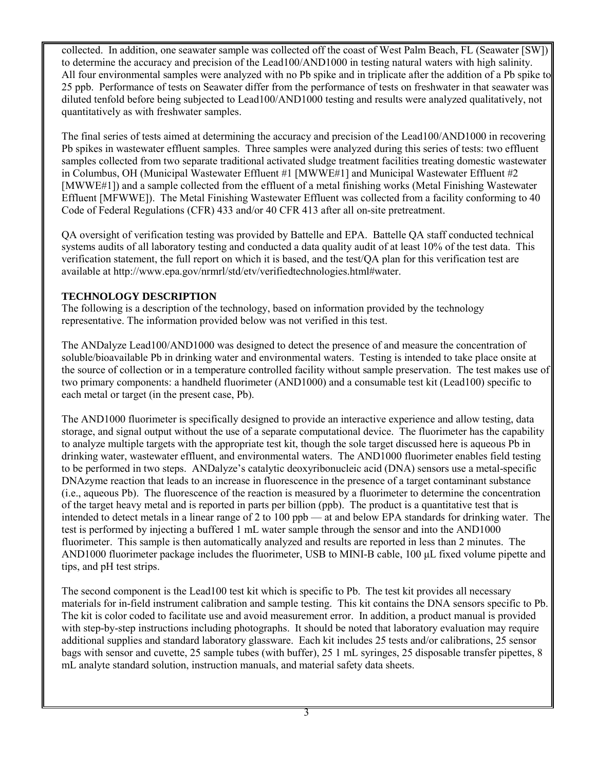collected. In addition, one seawater sample was collected off the coast of West Palm Beach, FL (Seawater [SW]) to determine the accuracy and precision of the Lead100/AND1000 in testing natural waters with high salinity. All four environmental samples were analyzed with no Pb spike and in triplicate after the addition of a Pb spike to 25 ppb. Performance of tests on Seawater differ from the performance of tests on freshwater in that seawater was diluted tenfold before being subjected to Lead100/AND1000 testing and results were analyzed qualitatively, not quantitatively as with freshwater samples.

The final series of tests aimed at determining the accuracy and precision of the Lead100/AND1000 in recovering Pb spikes in wastewater effluent samples. Three samples were analyzed during this series of tests: two effluent samples collected from two separate traditional activated sludge treatment facilities treating domestic wastewater in Columbus, OH (Municipal Wastewater Effluent #1 [MWWE#1] and Municipal Wastewater Effluent #2 [MWWE#1]) and a sample collected from the effluent of a metal finishing works (Metal Finishing Wastewater Effluent [MFWWE]). The Metal Finishing Wastewater Effluent was collected from a facility conforming to 40 Code of Federal Regulations (CFR) 433 and/or 40 CFR 413 after all on-site pretreatment.

QA oversight of verification testing was provided by Battelle and EPA. Battelle QA staff conducted technical systems audits of all laboratory testing and conducted a data quality audit of at least 10% of the test data. This verification statement, the full report on which it is based, and the test/QA plan for this verification test are available at http://www.epa.gov/nrmrl/std/etv/verifiedtechnologies.html#water.

# **TECHNOLOGY DESCRIPTION**

The following is a description of the technology, based on information provided by the technology representative. The information provided below was not verified in this test.

The ANDalyze Lead100/AND1000 was designed to detect the presence of and measure the concentration of soluble/bioavailable Pb in drinking water and environmental waters. Testing is intended to take place onsite at the source of collection or in a temperature controlled facility without sample preservation. The test makes use of two primary components: a handheld fluorimeter (AND1000) and a consumable test kit (Lead100) specific to each metal or target (in the present case, Pb).

The AND1000 fluorimeter is specifically designed to provide an interactive experience and allow testing, data storage, and signal output without the use of a separate computational device. The fluorimeter has the capability to analyze multiple targets with the appropriate test kit, though the sole target discussed here is aqueous Pb in drinking water, wastewater effluent, and environmental waters. The AND1000 fluorimeter enables field testing to be performed in two steps. ANDalyze's catalytic deoxyribonucleic acid (DNA) sensors use a metal-specific DNAzyme reaction that leads to an increase in fluorescence in the presence of a target contaminant substance (i.e., aqueous Pb). The fluorescence of the reaction is measured by a fluorimeter to determine the concentration of the target heavy metal and is reported in parts per billion (ppb). The product is a quantitative test that is intended to detect metals in a linear range of 2 to 100 ppb — at and below EPA standards for drinking water. The test is performed by injecting a buffered 1 mL water sample through the sensor and into the AND1000 fluorimeter. This sample is then automatically analyzed and results are reported in less than 2 minutes. The AND1000 fluorimeter package includes the fluorimeter, USB to MINI-B cable, 100 μL fixed volume pipette and tips, and pH test strips.

The second component is the Lead100 test kit which is specific to Pb. The test kit provides all necessary materials for in-field instrument calibration and sample testing. This kit contains the DNA sensors specific to Pb. The kit is color coded to facilitate use and avoid measurement error. In addition, a product manual is provided with step-by-step instructions including photographs. It should be noted that laboratory evaluation may require additional supplies and standard laboratory glassware. Each kit includes 25 tests and/or calibrations, 25 sensor bags with sensor and cuvette, 25 sample tubes (with buffer), 25 1 mL syringes, 25 disposable transfer pipettes, 8 mL analyte standard solution, instruction manuals, and material safety data sheets.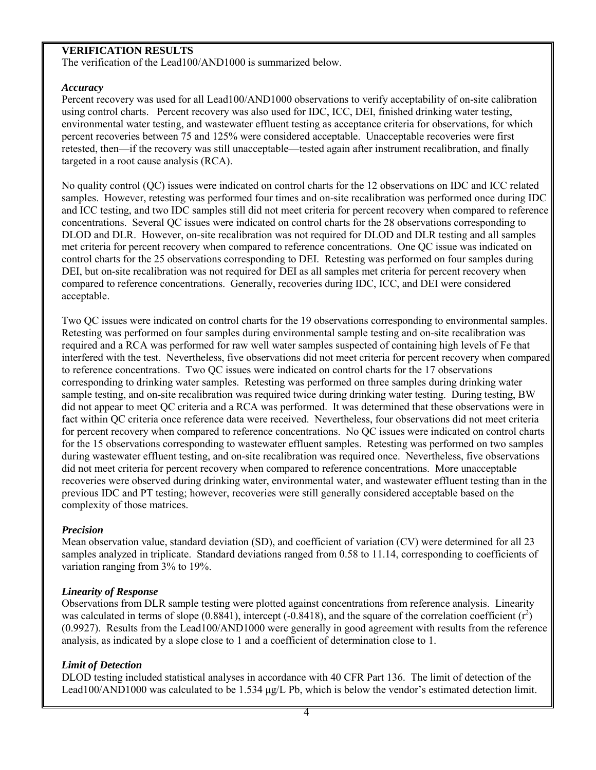# **VERIFICATION RESULTS**

The verification of the Lead100/AND1000 is summarized below.

#### *Accuracy*

Percent recovery was used for all Lead100/AND1000 observations to verify acceptability of on-site calibration using control charts. Percent recovery was also used for IDC, ICC, DEI, finished drinking water testing, environmental water testing, and wastewater effluent testing as acceptance criteria for observations, for which percent recoveries between 75 and 125% were considered acceptable. Unacceptable recoveries were first retested, then—if the recovery was still unacceptable—tested again after instrument recalibration, and finally targeted in a root cause analysis (RCA).

No quality control (QC) issues were indicated on control charts for the 12 observations on IDC and ICC related samples. However, retesting was performed four times and on-site recalibration was performed once during IDC and ICC testing, and two IDC samples still did not meet criteria for percent recovery when compared to reference concentrations. Several QC issues were indicated on control charts for the 28 observations corresponding to DLOD and DLR. However, on-site recalibration was not required for DLOD and DLR testing and all samples met criteria for percent recovery when compared to reference concentrations. One QC issue was indicated on control charts for the 25 observations corresponding to DEI. Retesting was performed on four samples during DEI, but on-site recalibration was not required for DEI as all samples met criteria for percent recovery when compared to reference concentrations. Generally, recoveries during IDC, ICC, and DEI were considered acceptable.

Two QC issues were indicated on control charts for the 19 observations corresponding to environmental samples. Retesting was performed on four samples during environmental sample testing and on-site recalibration was required and a RCA was performed for raw well water samples suspected of containing high levels of Fe that interfered with the test. Nevertheless, five observations did not meet criteria for percent recovery when compared to reference concentrations. Two QC issues were indicated on control charts for the 17 observations corresponding to drinking water samples. Retesting was performed on three samples during drinking water sample testing, and on-site recalibration was required twice during drinking water testing. During testing, BW did not appear to meet QC criteria and a RCA was performed. It was determined that these observations were in fact within QC criteria once reference data were received. Nevertheless, four observations did not meet criteria for percent recovery when compared to reference concentrations. No QC issues were indicated on control charts for the 15 observations corresponding to wastewater effluent samples. Retesting was performed on two samples during wastewater effluent testing, and on-site recalibration was required once. Nevertheless, five observations did not meet criteria for percent recovery when compared to reference concentrations. More unacceptable recoveries were observed during drinking water, environmental water, and wastewater effluent testing than in the previous IDC and PT testing; however, recoveries were still generally considered acceptable based on the complexity of those matrices.

## *Precision*

Mean observation value, standard deviation (SD), and coefficient of variation (CV) were determined for all 23 samples analyzed in triplicate. Standard deviations ranged from 0.58 to 11.14, corresponding to coefficients of variation ranging from 3% to 19%.

## *Linearity of Response*

Observations from DLR sample testing were plotted against concentrations from reference analysis. Linearity was calculated in terms of slope (0.8841), intercept (-0.8418), and the square of the correlation coefficient  $(r^2)$ (0.9927). Results from the Lead100/AND1000 were generally in good agreement with results from the reference analysis, as indicated by a slope close to 1 and a coefficient of determination close to 1.

## *Limit of Detection*

DLOD testing included statistical analyses in accordance with 40 CFR Part 136. The limit of detection of the Lead100/AND1000 was calculated to be 1.534 μg/L Pb, which is below the vendor's estimated detection limit.